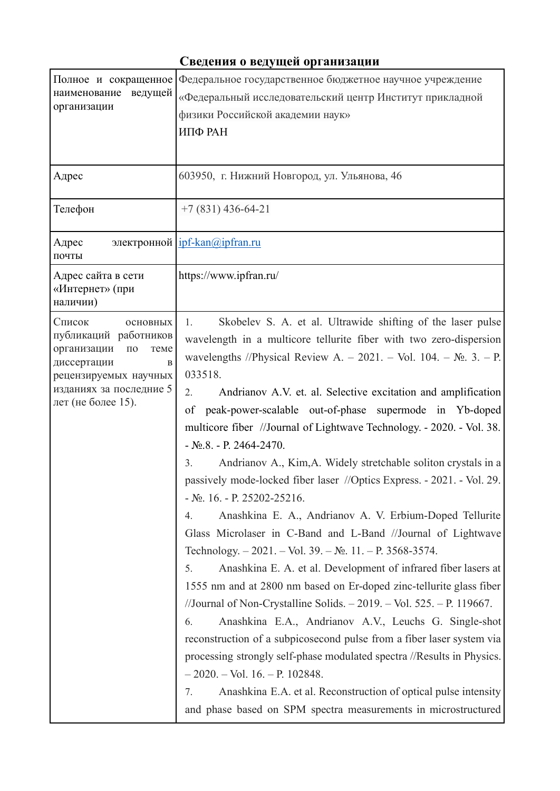## **Сведения о ведущей организации**

| Полное и сокращенное<br>ведущей<br>наименование<br>организации                                                                                                              | Федеральное государственное бюджетное научное учреждение<br>«Федеральный исследовательский центр Институт прикладной<br>физики Российской академии наук»<br>ИПФ РАН                                                                                                                                                                                                                                                                                                                                                                                                                                                                                                                                                                                                                                                                                                                                                                                                                                                                                                                                                                                                                                                                                                                                                                                                                                                                                                                                            |
|-----------------------------------------------------------------------------------------------------------------------------------------------------------------------------|----------------------------------------------------------------------------------------------------------------------------------------------------------------------------------------------------------------------------------------------------------------------------------------------------------------------------------------------------------------------------------------------------------------------------------------------------------------------------------------------------------------------------------------------------------------------------------------------------------------------------------------------------------------------------------------------------------------------------------------------------------------------------------------------------------------------------------------------------------------------------------------------------------------------------------------------------------------------------------------------------------------------------------------------------------------------------------------------------------------------------------------------------------------------------------------------------------------------------------------------------------------------------------------------------------------------------------------------------------------------------------------------------------------------------------------------------------------------------------------------------------------|
| Адрес                                                                                                                                                                       | 603950, г. Нижний Новгород, ул. Ульянова, 46                                                                                                                                                                                                                                                                                                                                                                                                                                                                                                                                                                                                                                                                                                                                                                                                                                                                                                                                                                                                                                                                                                                                                                                                                                                                                                                                                                                                                                                                   |
| Телефон                                                                                                                                                                     | $+7(831)$ 436-64-21                                                                                                                                                                                                                                                                                                                                                                                                                                                                                                                                                                                                                                                                                                                                                                                                                                                                                                                                                                                                                                                                                                                                                                                                                                                                                                                                                                                                                                                                                            |
| Адрес<br>почты                                                                                                                                                              | электронной $\frac{ipf-kan(\omega)pfran_rru}{ipfran_rru}$                                                                                                                                                                                                                                                                                                                                                                                                                                                                                                                                                                                                                                                                                                                                                                                                                                                                                                                                                                                                                                                                                                                                                                                                                                                                                                                                                                                                                                                      |
| Адрес сайта в сети<br>«Интернет» (при<br>наличии)                                                                                                                           | https://www.ipfran.ru/                                                                                                                                                                                                                                                                                                                                                                                                                                                                                                                                                                                                                                                                                                                                                                                                                                                                                                                                                                                                                                                                                                                                                                                                                                                                                                                                                                                                                                                                                         |
| Список<br>ОСНОВНЫХ<br>публикаций работников<br>организации<br>$\Pi 0$<br>теме<br>диссертации<br>B<br>рецензируемых научных<br>изданиях за последние 5<br>лет (не более 15). | Skobelev S. A. et al. Ultrawide shifting of the laser pulse<br>1.<br>wavelength in a multicore tellurite fiber with two zero-dispersion<br>wavelengths //Physical Review A. - 2021. - Vol. 104. - $N_2$ . 3. - P.<br>033518.<br>Andrianov A.V. et. al. Selective excitation and amplification<br>2.<br>peak-power-scalable out-of-phase supermode in Yb-doped<br>of<br>multicore fiber //Journal of Lightwave Technology. - 2020. - Vol. 38.<br>$-$ No.8. - P. 2464-2470.<br>Andrianov A., Kim, A. Widely stretchable soliton crystals in a<br>3 <sub>1</sub><br>passively mode-locked fiber laser //Optics Express. - 2021. - Vol. 29.<br>$-S_2$ . 16. - P. 25202-25216.<br>Anashkina E. A., Andrianov A. V. Erbium-Doped Tellurite<br>4.<br>Glass Microlaser in C-Band and L-Band //Journal of Lightwave<br>Technology. $-2021$ . $-$ Vol. 39. $-$ No. 11. $-$ P. 3568-3574.<br>Anashkina E. A. et al. Development of infrared fiber lasers at<br>5.<br>1555 nm and at 2800 nm based on Er-doped zinc-tellurite glass fiber<br>//Journal of Non-Crystalline Solids. $-2019$ . $-$ Vol. 525. $-$ P. 119667.<br>Anashkina E.A., Andrianov A.V., Leuchs G. Single-shot<br>6.<br>reconstruction of a subpicosecond pulse from a fiber laser system via<br>processing strongly self-phase modulated spectra //Results in Physics.<br>$-2020$ . – Vol. 16. – P. 102848.<br>7.<br>Anashkina E.A. et al. Reconstruction of optical pulse intensity<br>and phase based on SPM spectra measurements in microstructured |